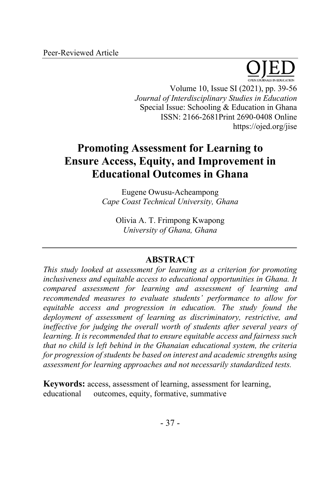

Volume 10, Issue SI (2021), pp. 39-56 *Journal of Interdisciplinary Studies in Education* Special Issue: Schooling & Education in Ghana ISSN: 2166-2681Print 2690-0408 Online https://ojed.org/jise

# **Promoting Assessment for Learning to Ensure Access, Equity, and Improvement in Educational Outcomes in Ghana**

Eugene Owusu-Acheampong *Cape Coast Technical University, Ghana* 

Olivia A. T. Frimpong Kwapong *University of Ghana, Ghana*

## **ABSTRACT**

*This study looked at assessment for learning as a criterion for promoting inclusiveness and equitable access to educational opportunities in Ghana. It compared assessment for learning and assessment of learning and recommended measures to evaluate students' performance to allow for equitable access and progression in education. The study found the deployment of assessment of learning as discriminatory, restrictive, and ineffective for judging the overall worth of students after several years of learning. It is recommended that to ensure equitable access and fairness such that no child is left behind in the Ghanaian educational system, the criteria for progression of students be based on interest and academic strengths using assessment for learning approaches and not necessarily standardized tests.*

**Keywords:** access, assessment of learning, assessment for learning, educational outcomes, equity, formative, summative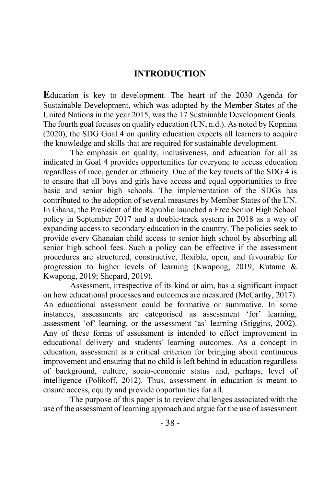## **INTRODUCTION**

**E**ducation is key to development. The heart of the 2030 Agenda for Sustainable Development, which was adopted by the Member States of the United Nations in the year 2015, was the 17 Sustainable Development Goals. The fourth goal focuses on quality education (UN, n.d.). As noted by Kopnina (2020), the SDG Goal 4 on quality education expects all learners to acquire the knowledge and skills that are required for sustainable development.

The emphasis on quality, inclusiveness, and education for all as indicated in Goal 4 provides opportunities for everyone to access education regardless of race, gender or ethnicity. One of the key tenets of the SDG 4 is to ensure that all boys and girls have access and equal opportunities to free basic and senior high schools. The implementation of the SDGs has contributed to the adoption of several measures by Member States of the UN. In Ghana, the President of the Republic launched a Free Senior High School policy in September 2017 and a double-track system in 2018 as a way of expanding access to secondary education in the country. The policies seek to provide every Ghanaian child access to senior high school by absorbing all senior high school fees. Such a policy can be effective if the assessment procedures are structured, constructive, flexible, open, and favourable for progression to higher levels of learning (Kwapong, 2019; Kutame & Kwapong, 2019; Shepard, 2019).

Assessment, irrespective of its kind or aim, has a significant impact on how educational processes and outcomes are measured (McCarthy, 2017). An educational assessment could be formative or summative. In some instances, assessments are categorised as assessment 'for' learning, assessment 'of' learning, or the assessment 'as' learning (Stiggins, 2002). Any of these forms of assessment is intended to effect improvement in educational delivery and students' learning outcomes. As a concept in education, assessment is a critical criterion for bringing about continuous improvement and ensuring that no child is left behind in education regardless of background, culture, socio-economic status and, perhaps, level of intelligence (Polikoff, 2012). Thus, assessment in education is meant to ensure access, equity and provide opportunities for all.

The purpose of this paper is to review challenges associated with the use of the assessment of learning approach and argue for the use of assessment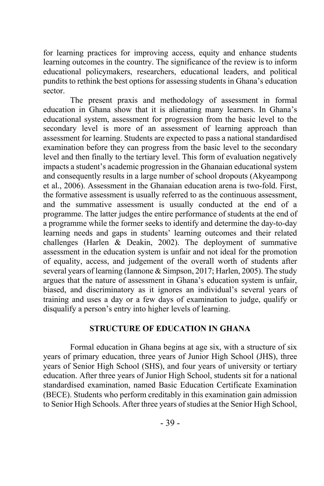for learning practices for improving access, equity and enhance students learning outcomes in the country. The significance of the review is to inform educational policymakers, researchers, educational leaders, and political pundits to rethink the best options for assessing students in Ghana's education sector.

The present praxis and methodology of assessment in formal education in Ghana show that it is alienating many learners. In Ghana's educational system, assessment for progression from the basic level to the secondary level is more of an assessment of learning approach than assessment for learning. Students are expected to pass a national standardised examination before they can progress from the basic level to the secondary level and then finally to the tertiary level. This form of evaluation negatively impacts a student's academic progression in the Ghanaian educational system and consequently results in a large number of school dropouts (Akyeampong et al., 2006). Assessment in the Ghanaian education arena is two-fold. First, the formative assessment is usually referred to as the continuous assessment, and the summative assessment is usually conducted at the end of a programme. The latter judges the entire performance of students at the end of a programme while the former seeks to identify and determine the day-to-day learning needs and gaps in students' learning outcomes and their related challenges (Harlen & Deakin, 2002). The deployment of summative assessment in the education system is unfair and not ideal for the promotion of equality, access, and judgement of the overall worth of students after several years of learning (Iannone & Simpson, 2017; Harlen, 2005). The study argues that the nature of assessment in Ghana's education system is unfair, biased, and discriminatory as it ignores an individual's several years of training and uses a day or a few days of examination to judge, qualify or disqualify a person's entry into higher levels of learning.

## **STRUCTURE OF EDUCATION IN GHANA**

Formal education in Ghana begins at age six, with a structure of six years of primary education, three years of Junior High School (JHS), three years of Senior High School (SHS), and four years of university or tertiary education. After three years of Junior High School, students sit for a national standardised examination, named Basic Education Certificate Examination (BECE). Students who perform creditably in this examination gain admission to Senior High Schools. After three years of studies at the Senior High School,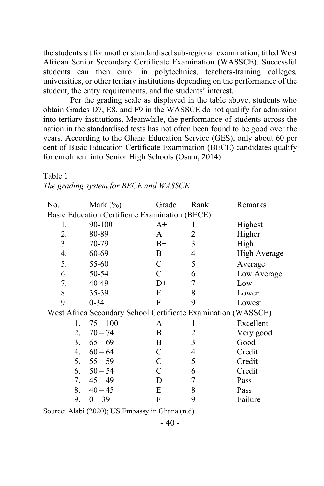the students sit for another standardised sub-regional examination, titled West African Senior Secondary Certificate Examination (WASSCE). Successful students can then enrol in polytechnics, teachers-training colleges, universities, or other tertiary institutions depending on the performance of the student, the entry requirements, and the students' interest.

Per the grading scale as displayed in the table above, students who obtain Grades D7, E8, and F9 in the WASSCE do not qualify for admission into tertiary institutions. Meanwhile, the performance of students across the nation in the standardised tests has not often been found to be good over the years. According to the Ghana Education Service (GES), only about 60 per cent of Basic Education Certificate Examination (BECE) candidates qualify for enrolment into Senior High Schools (Osam, 2014).

| No.                                                           | Mark $(\% )$ | Grade | Rank | Remarks             |
|---------------------------------------------------------------|--------------|-------|------|---------------------|
| Basic Education Certificate Examination (BECE)                |              |       |      |                     |
| 1.                                                            | 90-100       | $A+$  | I    | Highest             |
| 2.                                                            | 80-89        | A     | 2    | Higher              |
| 3.                                                            | 70-79        | $B+$  | 3    | High                |
| 4.                                                            | 60-69        | B     | 4    | <b>High Average</b> |
| 5.                                                            | 55-60        | $C+$  | 5    | Average             |
| 6.                                                            | 50-54        | C     | 6    | Low Average         |
| 7.                                                            | 40-49        | D+    | 7    | Low                 |
| 8.                                                            | 35-39        | E     | 8    | Lower               |
| 9.                                                            | $0 - 34$     | F     | 9    | Lowest              |
| West Africa Secondary School Certificate Examination (WASSCE) |              |       |      |                     |
| 1.                                                            | $75 - 100$   | A     |      | Excellent           |
| 2.                                                            | $70 - 74$    | B     | 2    | Very good           |
| 3.                                                            | $65 - 69$    | B     | 3    | Good                |
| 4.                                                            | $60 - 64$    | C     | 4    | Credit              |
| 5.                                                            | $55 - 59$    | C     | 5    | Credit              |
| 6.                                                            | $50 - 54$    | C     | 6    | Credit              |
| 7.                                                            | $45 - 49$    | D     | 7    | Pass                |
| 8.                                                            | $40 - 45$    | E     | 8    | Pass                |
| 9.                                                            | $0 - 39$     | F     | 9    | Failure             |

## Table 1 *The grading system for BECE and WASSCE*

Source: Alabi (2020); US Embassy in Ghana (n.d)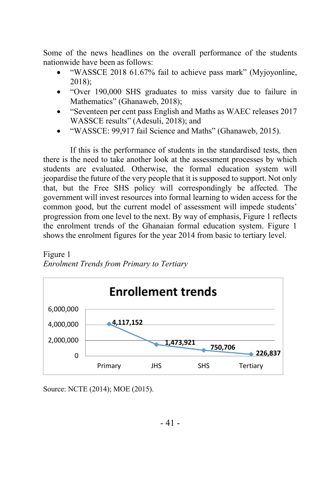Some of the news headlines on the overall performance of the students nationwide have been as follows:

- "WASSCE 2018 61.67% fail to achieve pass mark" (Myjoyonline, 2018);
- "Over 190,000 SHS graduates to miss varsity due to failure in Mathematics" (Ghanaweb, 2018);
- "Seventeen per cent pass English and Maths as WAEC releases 2017 WASSCE results" (Adesuli, 2018); and
- "WASSCE: 99,917 fail Science and Maths" (Ghanaweb, 2015).

If this is the performance of students in the standardised tests, then there is the need to take another look at the assessment processes by which students are evaluated. Otherwise, the formal education system will jeopardise the future of the very people that it is supposed to support. Not only that, but the Free SHS policy will correspondingly be affected. The government will invest resources into formal learning to widen access for the common good, but the current model of assessment will impede students' progression from one level to the next. By way of emphasis, Figure 1 reflects the enrolment trends of the Ghanaian formal education system. Figure 1 shows the enrolment figures for the year 2014 from basic to tertiary level.

*Enrolment Trends from Primary to Tertiary*



Source: NCTE (2014); MOE (2015).

Figure 1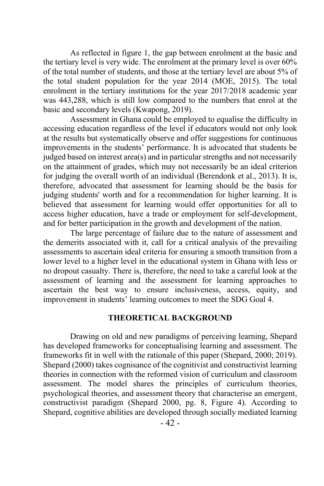As reflected in figure 1, the gap between enrolment at the basic and the tertiary level is very wide. The enrolment at the primary level is over 60% of the total number of students, and those at the tertiary level are about 5% of the total student population for the year 2014 (MOE, 2015). The total enrolment in the tertiary institutions for the year 2017/2018 academic year was 443,288, which is still low compared to the numbers that enrol at the basic and secondary levels (Kwapong, 2019).

Assessment in Ghana could be employed to equalise the difficulty in accessing education regardless of the level if educators would not only look at the results but systematically observe and offer suggestions for continuous improvements in the students' performance. It is advocated that students be judged based on interest area(s) and in particular strengths and not necessarily on the attainment of grades, which may not necessarily be an ideal criterion for judging the overall worth of an individual (Berendonk et al., 2013). It is, therefore, advocated that assessment for learning should be the basis for judging students' worth and for a recommendation for higher learning. It is believed that assessment for learning would offer opportunities for all to access higher education, have a trade or employment for self-development, and for better participation in the growth and development of the nation.

The large percentage of failure due to the nature of assessment and the demerits associated with it, call for a critical analysis of the prevailing assessments to ascertain ideal criteria for ensuring a smooth transition from a lower level to a higher level in the educational system in Ghana with less or no dropout casualty. There is, therefore, the need to take a careful look at the assessment of learning and the assessment for learning approaches to ascertain the best way to ensure inclusiveness, access, equity, and improvement in students' learning outcomes to meet the SDG Goal 4.

#### **THEORETICAL BACKGROUND**

Drawing on old and new paradigms of perceiving learning, Shepard has developed frameworks for conceptualising learning and assessment. The frameworks fit in well with the rationale of this paper (Shepard, 2000; 2019). Shepard (2000) takes cognisance of the cognitivist and constructivist learning theories in connection with the reformed vision of curriculum and classroom assessment. The model shares the principles of curriculum theories, psychological theories, and assessment theory that characterise an emergent, constructivist paradigm (Shepard 2000, pg. 8, Figure 4). According to Shepard, cognitive abilities are developed through socially mediated learning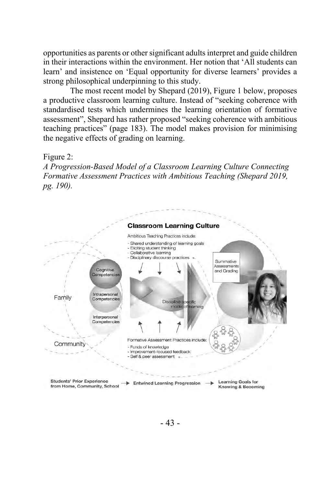opportunities as parents or other significant adults interpret and guide children in their interactions within the environment. Her notion that 'All students can learn' and insistence on 'Equal opportunity for diverse learners' provides a strong philosophical underpinning to this study.

The most recent model by Shepard (2019), Figure 1 below, proposes a productive classroom learning culture. Instead of "seeking coherence with standardised tests which undermines the learning orientation of formative assessment", Shepard has rather proposed "seeking coherence with ambitious teaching practices" (page 183). The model makes provision for minimising the negative effects of grading on learning.

#### Figure 2:

*A Progression-Based Model of a Classroom Learning Culture Connecting Formative Assessment Practices with Ambitious Teaching (Shepard 2019, pg. 190).*

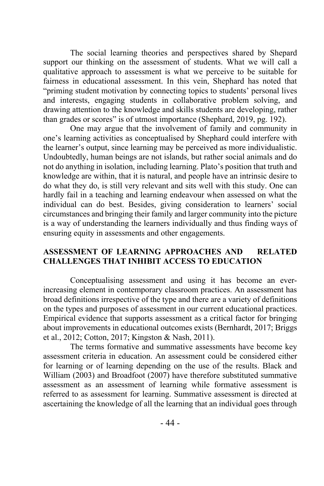The social learning theories and perspectives shared by Shepard support our thinking on the assessment of students. What we will call a qualitative approach to assessment is what we perceive to be suitable for fairness in educational assessment. In this vein, Shephard has noted that "priming student motivation by connecting topics to students' personal lives and interests, engaging students in collaborative problem solving, and drawing attention to the knowledge and skills students are developing, rather than grades or scores" is of utmost importance (Shephard, 2019, pg. 192).

One may argue that the involvement of family and community in one's learning activities as conceptualised by Shephard could interfere with the learner's output, since learning may be perceived as more individualistic. Undoubtedly, human beings are not islands, but rather social animals and do not do anything in isolation, including learning. Plato's position that truth and knowledge are within, that it is natural, and people have an intrinsic desire to do what they do, is still very relevant and sits well with this study. One can hardly fail in a teaching and learning endeavour when assessed on what the individual can do best. Besides, giving consideration to learners' social circumstances and bringing their family and larger community into the picture is a way of understanding the learners individually and thus finding ways of ensuring equity in assessments and other engagements.

## **ASSESSMENT OF LEARNING APPROACHES AND RELATED CHALLENGES THAT INHIBIT ACCESS TO EDUCATION**

Conceptualising assessment and using it has become an everincreasing element in contemporary classroom practices. An assessment has broad definitions irrespective of the type and there are a variety of definitions on the types and purposes of assessment in our current educational practices. Empirical evidence that supports assessment as a critical factor for bringing about improvements in educational outcomes exists (Bernhardt, 2017; Briggs et al., 2012; Cotton, 2017; Kingston & Nash, 2011).

The terms formative and summative assessments have become key assessment criteria in education. An assessment could be considered either for learning or of learning depending on the use of the results. Black and William (2003) and Broadfoot (2007) have therefore substituted summative assessment as an assessment of learning while formative assessment is referred to as assessment for learning. Summative assessment is directed at ascertaining the knowledge of all the learning that an individual goes through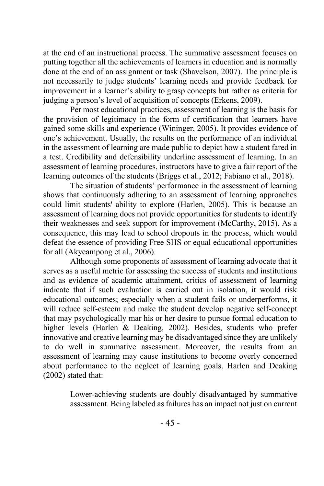at the end of an instructional process. The summative assessment focuses on putting together all the achievements of learners in education and is normally done at the end of an assignment or task (Shavelson, 2007). The principle is not necessarily to judge students' learning needs and provide feedback for improvement in a learner's ability to grasp concepts but rather as criteria for judging a person's level of acquisition of concepts (Erkens, 2009).

Per most educational practices, assessment of learning is the basis for the provision of legitimacy in the form of certification that learners have gained some skills and experience (Wininger, 2005). It provides evidence of one's achievement. Usually, the results on the performance of an individual in the assessment of learning are made public to depict how a student fared in a test. Credibility and defensibility underline assessment of learning. In an assessment of learning procedures, instructors have to give a fair report of the learning outcomes of the students (Briggs et al., 2012; Fabiano et al., 2018).

The situation of students' performance in the assessment of learning shows that continuously adhering to an assessment of learning approaches could limit students' ability to explore (Harlen, 2005). This is because an assessment of learning does not provide opportunities for students to identify their weaknesses and seek support for improvement (McCarthy, 2015). As a consequence, this may lead to school dropouts in the process, which would defeat the essence of providing Free SHS or equal educational opportunities for all (Akyeampong et al., 2006).

Although some proponents of assessment of learning advocate that it serves as a useful metric for assessing the success of students and institutions and as evidence of academic attainment, critics of assessment of learning indicate that if such evaluation is carried out in isolation, it would risk educational outcomes; especially when a student fails or underperforms, it will reduce self-esteem and make the student develop negative self-concept that may psychologically mar his or her desire to pursue formal education to higher levels (Harlen & Deaking, 2002). Besides, students who prefer innovative and creative learning may be disadvantaged since they are unlikely to do well in summative assessment. Moreover, the results from an assessment of learning may cause institutions to become overly concerned about performance to the neglect of learning goals. Harlen and Deaking (2002) stated that:

> Lower-achieving students are doubly disadvantaged by summative assessment. Being labeled as failures has an impact not just on current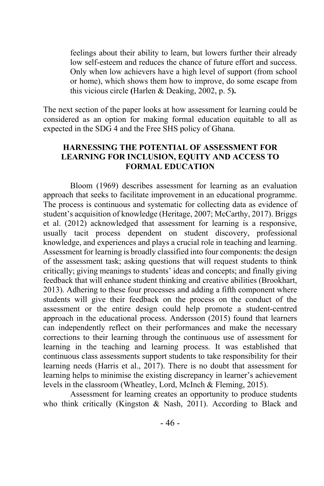feelings about their ability to learn, but lowers further their already low self-esteem and reduces the chance of future effort and success. Only when low achievers have a high level of support (from school or home), which shows them how to improve, do some escape from this vicious circle **(**Harlen & Deaking, 2002, p. 5**).**

The next section of the paper looks at how assessment for learning could be considered as an option for making formal education equitable to all as expected in the SDG 4 and the Free SHS policy of Ghana.

## **HARNESSING THE POTENTIAL OF ASSESSMENT FOR LEARNING FOR INCLUSION, EQUITY AND ACCESS TO FORMAL EDUCATION**

Bloom (1969) describes assessment for learning as an evaluation approach that seeks to facilitate improvement in an educational programme. The process is continuous and systematic for collecting data as evidence of student's acquisition of knowledge (Heritage, 2007; McCarthy, 2017). Briggs et al. (2012) acknowledged that assessment for learning is a responsive, usually tacit process dependent on student discovery, professional knowledge, and experiences and plays a crucial role in teaching and learning. Assessment for learning is broadly classified into four components: the design of the assessment task; asking questions that will request students to think critically; giving meanings to students' ideas and concepts; and finally giving feedback that will enhance student thinking and creative abilities (Brookhart, 2013). Adhering to these four processes and adding a fifth component where students will give their feedback on the process on the conduct of the assessment or the entire design could help promote a student-centred approach in the educational process. Andersson (2015) found that learners can independently reflect on their performances and make the necessary corrections to their learning through the continuous use of assessment for learning in the teaching and learning process. It was established that continuous class assessments support students to take responsibility for their learning needs (Harris et al., 2017). There is no doubt that assessment for learning helps to minimise the existing discrepancy in learner's achievement levels in the classroom (Wheatley, Lord, McInch & Fleming, 2015).

Assessment for learning creates an opportunity to produce students who think critically (Kingston & Nash, 2011). According to Black and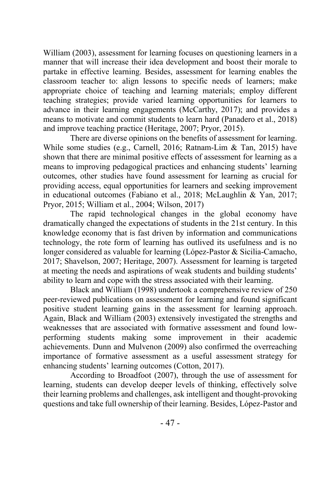William (2003), assessment for learning focuses on questioning learners in a manner that will increase their idea development and boost their morale to partake in effective learning. Besides, assessment for learning enables the classroom teacher to: align lessons to specific needs of learners; make appropriate choice of teaching and learning materials; employ different teaching strategies; provide varied learning opportunities for learners to advance in their learning engagements (McCarthy, 2017); and provides a means to motivate and commit students to learn hard (Panadero et al., 2018) and improve teaching practice (Heritage, 2007; Pryor, 2015).

There are diverse opinions on the benefits of assessment for learning. While some studies (e.g., Carnell, 2016; Ratnam-Lim & Tan, 2015) have shown that there are minimal positive effects of assessment for learning as a means to improving pedagogical practices and enhancing students' learning outcomes, other studies have found assessment for learning as crucial for providing access, equal opportunities for learners and seeking improvement in educational outcomes (Fabiano et al., 2018; McLaughlin & Yan, 2017; Pryor, 2015; William et al., 2004; Wilson, 2017)

The rapid technological changes in the global economy have dramatically changed the expectations of students in the 21st century. In this knowledge economy that is fast driven by information and communications technology, the rote form of learning has outlived its usefulness and is no longer considered as valuable for learning (López-Pastor & Sicilia-Camacho, 2017; Shavelson, 2007; Heritage, 2007). Assessment for learning is targeted at meeting the needs and aspirations of weak students and building students' ability to learn and cope with the stress associated with their learning.

Black and William (1998) undertook a comprehensive review of 250 peer-reviewed publications on assessment for learning and found significant positive student learning gains in the assessment for learning approach. Again, Black and William (2003) extensively investigated the strengths and weaknesses that are associated with formative assessment and found lowperforming students making some improvement in their academic achievements. Dunn and Mulvenon (2009) also confirmed the overreaching importance of formative assessment as a useful assessment strategy for enhancing students' learning outcomes (Cotton, 2017).

According to Broadfoot (2007), through the use of assessment for learning, students can develop deeper levels of thinking, effectively solve their learning problems and challenges, ask intelligent and thought-provoking questions and take full ownership of their learning. Besides, López-Pastor and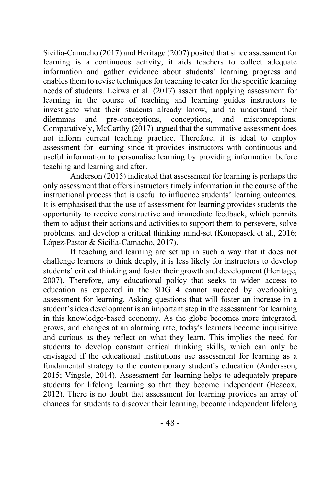Sicilia-Camacho (2017) and Heritage (2007) posited that since assessment for learning is a continuous activity, it aids teachers to collect adequate information and gather evidence about students' learning progress and enables them to revise techniques for teaching to cater for the specific learning needs of students. Lekwa et al. (2017) assert that applying assessment for learning in the course of teaching and learning guides instructors to investigate what their students already know, and to understand their dilemmas and pre-conceptions, conceptions, and misconceptions. Comparatively, McCarthy (2017) argued that the summative assessment does not inform current teaching practice. Therefore, it is ideal to employ assessment for learning since it provides instructors with continuous and useful information to personalise learning by providing information before teaching and learning and after.

Anderson (2015) indicated that assessment for learning is perhaps the only assessment that offers instructors timely information in the course of the instructional process that is useful to influence students' learning outcomes. It is emphasised that the use of assessment for learning provides students the opportunity to receive constructive and immediate feedback, which permits them to adjust their actions and activities to support them to persevere, solve problems, and develop a critical thinking mind-set (Konopasek et al., 2016; López-Pastor & Sicilia-Camacho, 2017).

If teaching and learning are set up in such a way that it does not challenge learners to think deeply, it is less likely for instructors to develop students' critical thinking and foster their growth and development (Heritage, 2007). Therefore, any educational policy that seeks to widen access to education as expected in the SDG 4 cannot succeed by overlooking assessment for learning. Asking questions that will foster an increase in a student's idea development is an important step in the assessment for learning in this knowledge-based economy. As the globe becomes more integrated, grows, and changes at an alarming rate, today's learners become inquisitive and curious as they reflect on what they learn. This implies the need for students to develop constant critical thinking skills, which can only be envisaged if the educational institutions use assessment for learning as a fundamental strategy to the contemporary student's education (Andersson, 2015; Vingsle, 2014). Assessment for learning helps to adequately prepare students for lifelong learning so that they become independent (Heacox, 2012). There is no doubt that assessment for learning provides an array of chances for students to discover their learning, become independent lifelong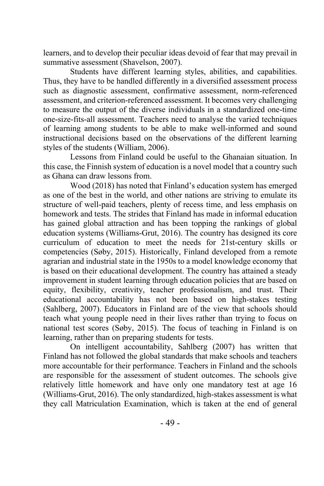learners, and to develop their peculiar ideas devoid of fear that may prevail in summative assessment (Shavelson, 2007).

Students have different learning styles, abilities, and capabilities. Thus, they have to be handled differently in a diversified assessment process such as diagnostic assessment, confirmative assessment, norm-referenced assessment, and criterion-referenced assessment. It becomes very challenging to measure the output of the diverse individuals in a standardized one-time one-size-fits-all assessment. Teachers need to analyse the varied techniques of learning among students to be able to make well-informed and sound instructional decisions based on the observations of the different learning styles of the students (William, 2006).

Lessons from Finland could be useful to the Ghanaian situation. In this case, the Finnish system of education is a novel model that a country such as Ghana can draw lessons from.

Wood (2018) has noted that Finland's education system has emerged as one of the best in the world, and other nations are striving to emulate its structure of well-paid teachers, plenty of recess time, and less emphasis on homework and tests. The strides that Finland has made in informal education has gained global attraction and has been topping the rankings of global education systems (Williams-Grut, 2016). The country has designed its core curriculum of education to meet the needs for 21st-century skills or competencies (Søby, 2015). Historically, Finland developed from a remote agrarian and industrial state in the 1950s to a model knowledge economy that is based on their educational development. The country has attained a steady improvement in student learning through education policies that are based on equity, flexibility, creativity, teacher professionalism, and trust. Their educational accountability has not been based on high-stakes testing (Sahlberg, 2007). Educators in Finland are of the view that schools should teach what young people need in their lives rather than trying to focus on national test scores (Søby, 2015). The focus of teaching in Finland is on learning, rather than on preparing students for tests.

On intelligent accountability, Sahlberg (2007) has written that Finland has not followed the global standards that make schools and teachers more accountable for their performance. Teachers in Finland and the schools are responsible for the assessment of student outcomes. The schools give relatively little homework and have only one mandatory test at age 16 (Williams-Grut, 2016). The only standardized, high-stakes assessment is what they call Matriculation Examination, which is taken at the end of general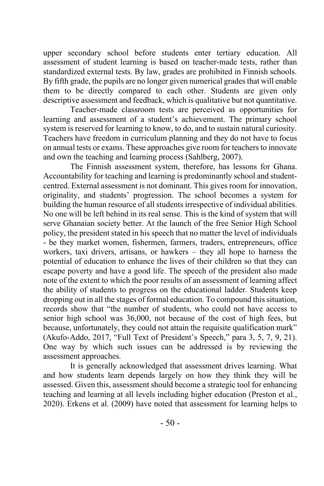upper secondary school before students enter tertiary education. All assessment of student learning is based on teacher-made tests, rather than standardized external tests. By law, grades are prohibited in Finnish schools. By fifth grade, the pupils are no longer given numerical grades that will enable them to be directly compared to each other. Students are given only descriptive assessment and feedback, which is qualitative but not quantitative.

Teacher-made classroom tests are perceived as opportunities for learning and assessment of a student's achievement. The primary school system is reserved for learning to know, to do, and to sustain natural curiosity. Teachers have freedom in curriculum planning and they do not have to focus on annual tests or exams. These approaches give room for teachers to innovate and own the teaching and learning process (Sahlberg, 2007).

The Finnish assessment system, therefore, has lessons for Ghana. Accountability for teaching and learning is predominantly school and studentcentred. External assessment is not dominant. This gives room for innovation, originality, and students' progression. The school becomes a system for building the human resource of all students irrespective of individual abilities. No one will be left behind in its real sense. This is the kind of system that will serve Ghanaian society better. At the launch of the free Senior High School policy, the president stated in his speech that no matter the level of individuals - be they market women, fishermen, farmers, traders, entrepreneurs, office workers, taxi drivers, artisans, or hawkers – they all hope to harness the potential of education to enhance the lives of their children so that they can escape poverty and have a good life. The speech of the president also made note of the extent to which the poor results of an assessment of learning affect the ability of students to progress on the educational ladder. Students keep dropping out in all the stages of formal education. To compound this situation, records show that "the number of students, who could not have access to senior high school was 36,000, not because of the cost of high fees, but because, unfortunately, they could not attain the requisite qualification mark" (Akufo-Addo, 2017, "Full Text of President's Speech," para 3, 5, 7, 9, 21). One way by which such issues can be addressed is by reviewing the assessment approaches.

It is generally acknowledged that assessment drives learning. What and how students learn depends largely on how they think they will be assessed. Given this, assessment should become a strategic tool for enhancing teaching and learning at all levels including higher education (Preston et al., 2020). Erkens et al. (2009) have noted that assessment for learning helps to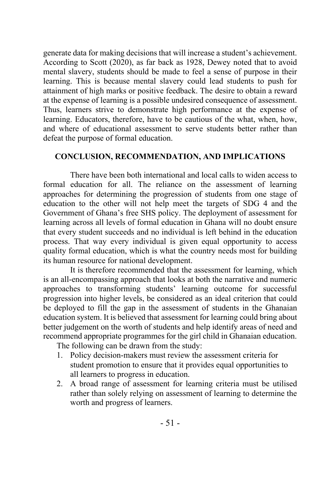generate data for making decisions that will increase a student's achievement. According to Scott (2020), as far back as 1928, Dewey noted that to avoid mental slavery, students should be made to feel a sense of purpose in their learning. This is because mental slavery could lead students to push for attainment of high marks or positive feedback. The desire to obtain a reward at the expense of learning is a possible undesired consequence of assessment. Thus, learners strive to demonstrate high performance at the expense of learning. Educators, therefore, have to be cautious of the what, when, how, and where of educational assessment to serve students better rather than defeat the purpose of formal education.

## **CONCLUSION, RECOMMENDATION, AND IMPLICATIONS**

There have been both international and local calls to widen access to formal education for all. The reliance on the assessment of learning approaches for determining the progression of students from one stage of education to the other will not help meet the targets of SDG 4 and the Government of Ghana's free SHS policy. The deployment of assessment for learning across all levels of formal education in Ghana will no doubt ensure that every student succeeds and no individual is left behind in the education process. That way every individual is given equal opportunity to access quality formal education, which is what the country needs most for building its human resource for national development.

It is therefore recommended that the assessment for learning, which is an all-encompassing approach that looks at both the narrative and numeric approaches to transforming students' learning outcome for successful progression into higher levels, be considered as an ideal criterion that could be deployed to fill the gap in the assessment of students in the Ghanaian education system. It is believed that assessment for learning could bring about better judgement on the worth of students and help identify areas of need and recommend appropriate programmes for the girl child in Ghanaian education.

The following can be drawn from the study:

- 1. Policy decision-makers must review the assessment criteria for student promotion to ensure that it provides equal opportunities to all learners to progress in education.
- 2. A broad range of assessment for learning criteria must be utilised rather than solely relying on assessment of learning to determine the worth and progress of learners.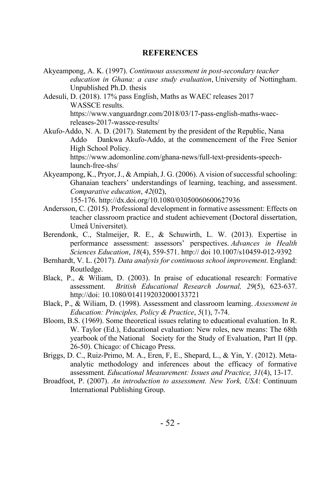#### **REFERENCES**

- Akyeampong, A. K. (1997). *Continuous assessment in post-secondary teacher education in Ghana: a case study evaluation*, University of Nottingham. Unpublished Ph.D. thesis
- Adesuli, D. (2018). 17% pass English, Maths as WAEC releases 2017 WASSCE results. https://www.vanguardngr.com/2018/03/17-pass-english-maths-waecreleases-2017-wassce-results/
- Akufo-Addo, N. A. D. (2017). Statement by the president of the Republic, Nana Addo Dankwa Akufo-Addo, at the commencement of the Free Senior High School Policy. https://www.adomonline.com/ghana-news/full-text-presidents-speechlaunch-free-shs/
- Akyeampong, K., Pryor, J., & Ampiah, J. G. (2006). A vision of successful schooling: Ghanaian teachers' understandings of learning, teaching, and assessment. *Comparative education*, *42*(02),

155-176. http://dx.doi.org/10.1080/03050060600627936

- Andersson, C. (2015). Professional development in formative assessment: Effects on teacher classroom practice and student achievement (Doctoral dissertation, Umeå Universitet).
- Berendonk, C., Stalmeijer, R. E., & Schuwirth, L. W. (2013). Expertise in performance assessment: assessors' perspectives. *Advances in Health Sciences Education*, *18*(4), 559-571. http:// doi 10.1007/s10459-012-9392
- Bernhardt, V. L. (2017). *Data analysis for continuous school improvement*. England: Routledge.
- Black, P., & Wiliam, D. (2003). In praise of educational research: Formative assessment. *British Educational Research Journal, 29*(5), 623-637. http://doi: 10.1080/0141192032000133721
- Black, P., & Wiliam, D. (1998). Assessment and classroom learning. *Assessment in Education: Principles, Policy & Practice*, *5*(1), 7-74.
- Bloom, B.S. (1969). Some theoretical issues relating to educational evaluation. In R. W. Taylor (Ed.), Educational evaluation: New roles, new means: The 68th yearbook of the National Society for the Study of Evaluation, Part II (pp. 26-50). Chicago: of Chicago Press.
- Briggs, D. C., Ruiz-Primo, M. A., Eren, F, E., Shepard, L., & Yin, Y. (2012). Metaanalytic methodology and inferences about the efficacy of formative assessment. *Educational Measurement: Issues and Practice, 31*(4), 13-17.
- Broadfoot, P. (2007). *An introduction to assessment. New York, USA*: Continuum International Publishing Group.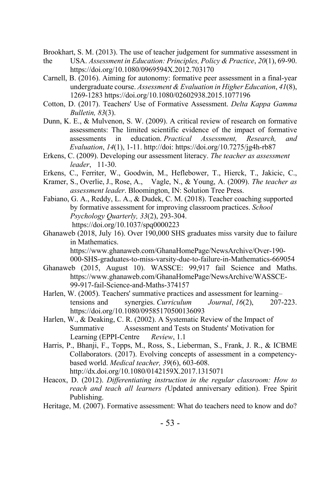Brookhart, S. M. (2013). The use of teacher judgement for summative assessment in

- the USA. *Assessment in Education: Principles, Policy & Practice*, *20*(1), 69-90. https://doi.org/10.1080/0969594X.2012.703170
- Carnell, B. (2016). Aiming for autonomy: formative peer assessment in a final-year undergraduate course. *Assessment & Evaluation in Higher Education*, *41*(8), 1269-1283 https://doi.org/10.1080/02602938.2015.1077196
- Cotton, D. (2017). Teachers' Use of Formative Assessment. *Delta Kappa Gamma Bulletin, 83*(3).
- Dunn, K. E., & Mulvenon, S. W. (2009). A critical review of research on formative assessments: The limited scientific evidence of the impact of formative assessments in education. *Practical Assessment, Research, and Evaluation*, *14*(1), 1-11. http://doi: https://doi.org/10.7275/jg4h-rb87
- Erkens, C. (2009). Developing our assessment literacy. *The teacher as assessment leader*, 11-30.
- Erkens, C., Ferriter, W., Goodwin, M., Heflebower, T., Hierck, T., Jakicic, C.,
- Kramer, S., Overlie, J., Rose, A., Vagle, N., & Young, A. (2009). *The teacher as assessment leader*. Bloomington, IN: Solution Tree Press.
- Fabiano, G. A., Reddy, L. A., & Dudek, C. M. (2018). Teacher coaching supported by formative assessment for improving classroom practices. *School Psychology Quarterly, 33*(2), 293-304. https://doi.org/10.1037/spq0000223
- Ghanaweb (2018, July 16). Over 190,000 SHS graduates miss varsity due to failure in Mathematics. https://www.ghanaweb.com/GhanaHomePage/NewsArchive/Over-190- 000-SHS-graduates-to-miss-varsity-due-to-failure-in-Mathematics-669054
- Ghanaweb (2015, August 10). WASSCE: 99,917 fail Science and Maths. https://www.ghanaweb.com/GhanaHomePage/NewsArchive/WASSCE-99-917-fail-Science-and-Maths-374157
- Harlen, W. (2005). Teachers' summative practices and assessment for learning– tensions and synergies. *Curriculum Journal*, *16*(2), 207-223. https://doi.org/10.1080/09585170500136093
- Harlen, W., & Deaking, C. R. (2002). A Systematic Review of the Impact of Summative Assessment and Tests on Students' Motivation for Learning (EPPI-Centre *Review*, 1.1
- Harris, P., Bhanji, F., Topps, M., Ross, S., Lieberman, S., Frank, J. R., & ICBME Collaborators. (2017). Evolving concepts of assessment in a competencybased world. *Medical teacher, 39*(6), 603-608. http://dx.doi.org/10.1080/0142159X.2017.1315071
- Heacox, D. (2012). *Differentiating instruction in the regular classroom: How to reach and teach all learners (*Updated anniversary edition). Free Spirit Publishing.
- Heritage, M. (2007). Formative assessment: What do teachers need to know and do?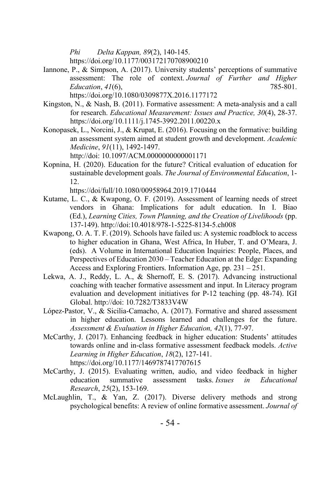*Phi Delta Kappan, 89*(2), 140-145.

https://doi.org/10.1177/003172170708900210

- Iannone, P., & Simpson, A. (2017). University students' perceptions of summative assessment: The role of context. *Journal of Further and Higher Education*, *41*(6), 785-801. https://doi.org/10.1080/0309877X.2016.1177172
- Kingston, N., & Nash, B. (2011). Formative assessment: A meta-analysis and a call for research. *Educational Measurement: Issues and Practice, 30*(4), 28-37. https://doi.org/10.1111/j.1745-3992.2011.00220.x
- Konopasek, L., Norcini, J., & Krupat, E. (2016). Focusing on the formative: building an assessment system aimed at student growth and development. *Academic Medicine*, *91*(11), 1492-1497. http://doi: 10.1097/ACM.0000000000001171
- Kopnina, H. (2020). Education for the future? Critical evaluation of education for sustainable development goals. *The Journal of Environmental Education*, 1- 12.

https://doi/full/10.1080/00958964.2019.1710444

- Kutame, L. C., & Kwapong, O. F. (2019). Assessment of learning needs of street vendors in Ghana: Implications for adult education. In I. Biao (Ed.), *Learning Cities, Town Planning, and the Creation of Livelihoods* (pp. 137-149). http://doi:10.4018/978-1-5225-8134-5.ch008
- Kwapong, O. A. T. F. (2019). Schools have failed us: A systemic roadblock to access to higher education in Ghana, West Africa, In Huber, T. and O'Meara, J. (eds). A Volume in International Education Inquiries: People, Places, and Perspectives of Education 2030 – Teacher Education at the Edge: Expanding Access and Exploring Frontiers. Information Age, pp. 231 – 251.
- Lekwa, A. J., Reddy, L. A., & Shernoff, E. S. (2017). Advancing instructional coaching with teacher formative assessment and input. In Literacy program evaluation and development initiatives for P-12 teaching (pp. 48-74). IGI Global. http://doi: 10.7282/T3833V4W
- López-Pastor, V., & Sicilia-Camacho, A. (2017). Formative and shared assessment in higher education. Lessons learned and challenges for the future. *Assessment & Evaluation in Higher Education, 42*(1), 77-97.
- McCarthy, J. (2017). Enhancing feedback in higher education: Students' attitudes towards online and in-class formative assessment feedback models. *Active Learning in Higher Education*, *18*(2), 127-141. https://doi.org/10.1177/1469787417707615
- McCarthy, J. (2015). Evaluating written, audio, and video feedback in higher education summative assessment tasks. *Issues in Educational Research*, *25*(2), 153-169.
- McLaughlin, T., & Yan, Z. (2017). Diverse delivery methods and strong psychological benefits: A review of online formative assessment. *Journal of*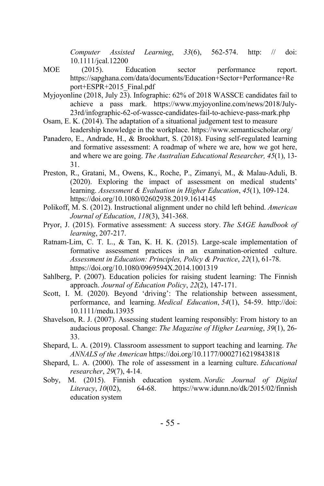*Computer Assisted Learning*, *33*(6), 562-574. http: // doi: 10.1111/jcal.12200

- MOE (2015). Education sector performance report. https://sapghana.com/data/documents/Education+Sector+Performance+Re port+ESPR+2015\_Final.pdf
- Myjoyonline (2018, July 23). Infographic: 62% of 2018 WASSCE candidates fail to achieve a pass mark. https://www.myjoyonline.com/news/2018/July-23rd/infographic-62-of-wassce-candidates-fail-to-achieve-pass-mark.php
- Osam, E. K. (2014). The adaptation of a situational judgement test to measure leadership knowledge in the workplace. https://www.semanticscholar.org/
- Panadero, E., Andrade, H., & Brookhart, S. (2018). Fusing self-regulated learning and formative assessment: A roadmap of where we are, how we got here, and where we are going. *The Australian Educational Researcher, 45*(1), 13- 31.
- Preston, R., Gratani, M., Owens, K., Roche, P., Zimanyi, M., & Malau-Aduli, B. (2020). Exploring the impact of assessment on medical students' learning. *Assessment & Evaluation in Higher Education*, *45*(1), 109-124. https://doi.org/10.1080/02602938.2019.1614145
- Polikoff, M. S. (2012). Instructional alignment under no child left behind. *American Journal of Education*, *118*(3), 341-368.
- Pryor, J. (2015). Formative assessment: A success story. *The SAGE handbook of learning*, 207-217.
- Ratnam-Lim, C. T. L., & Tan, K. H. K. (2015). Large-scale implementation of formative assessment practices in an examination-oriented culture. *Assessment in Education: Principles, Policy & Practice*, *22*(1), 61-78. https://doi.org/10.1080/0969594X.2014.1001319
- Sahlberg, P. (2007). Education policies for raising student learning: The Finnish approach. *Journal of Education Policy*, *22*(2), 147-171.
- Scott, I. M. (2020). Beyond 'driving': The relationship between assessment, performance, and learning. *Medical Education*, *54*(1), 54-59. http://doi: 10.1111/medu.13935
- Shavelson, R. J. (2007). Assessing student learning responsibly: From history to an audacious proposal. Change: *The Magazine of Higher Learning*, *39*(1), 26- 33.
- Shepard, L. A. (2019). Classroom assessment to support teaching and learning. *The ANNALS of the American* https://doi.org/10.1177/0002716219843818
- Shepard, L. A. (2000). The role of assessment in a learning culture. *Educational researcher*, *29*(7), 4-14.
- Soby, M. (2015). Finnish education system. *Nordic Journal of Digital Literacy*, *10*(02), 64-68. https://www.idunn.no/dk/2015/02/finnish education system